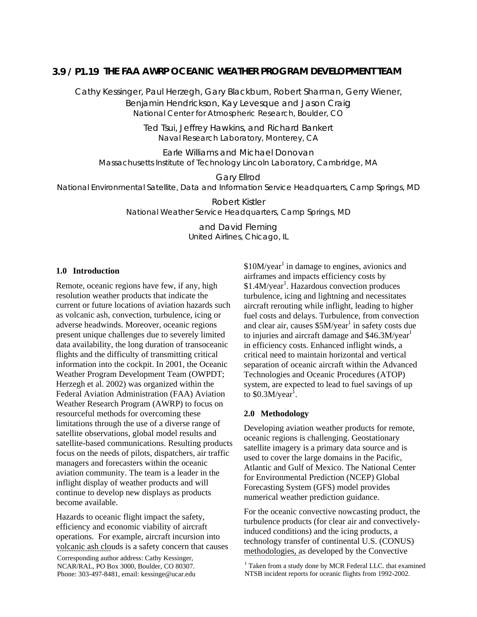# **THE FAA AWRP OCEANIC WEATHER PROGRAM DEVELOPMENT TEAM 3.9 / P1.19**

Cathy Kessinger, Paul Herzegh, Gary Blackburn, Robert Sharman, Gerry Wiener, Benjamin Hendrickson, Kay Levesque and Jason Craig National Center for Atmospheric Research, Boulder, CO

> Ted Tsui, Jeffrey Hawkins, and Richard Bankert Naval Research Laboratory, Monterey, CA

Earle Williams and Michael Donovan Massachusetts Institute of Technology Lincoln Laboratory, Cambridge, MA

Gary Ellrod National Environmental Satellite, Data and Information Service Headquarters, Camp Springs, MD

> Robert Kistler National Weather Service Headquarters, Camp Springs, MD

> > and David Fleming United Airlines, Chicago, IL

### **1.0 Introduction**

Remote, oceanic regions have few, if any, high resolution weather products that indicate the current or future locations of aviation hazards such as volcanic ash, convection, turbulence, icing or adverse headwinds. Moreover, oceanic regions present unique challenges due to severely limited data availability, the long duration of transoceanic flights and the difficulty of transmitting critical information into the cockpit. In 2001, the Oceanic Weather Program Development Team (OWPDT; Herzegh et al. 2002) was organized within the Federal Aviation Administration (FAA) Aviation Weather Research Program (AWRP) to focus on resourceful methods for overcoming these limitations through the use of a diverse range of satellite observations, global model results and satellite-based communications. Resulting products focus on the needs of pilots, dispatchers, air traffic managers and forecasters within the oceanic aviation community. The team is a leader in the inflight display of weather products and will continue to develop new displays as products become available.

Hazards to oceanic flight impact the safety, efficiency and economic viability of aircraft operations. For example, aircraft incursion into volcanic ash clouds is a safety concern that causes

NCAR/RAL, PO Box 3000, Boulder, CO 80307. Phone: 303-497-8481, email: kessinge@ucar.edu

\$10M/year<sup>1</sup> in damage to engines, avionics and airframes and impacts efficiency costs by \$1.4M/year<sup>1</sup>. Hazardous convection produces turbulence, icing and lightning and necessitates aircraft rerouting while inflight, leading to higher fuel costs and delays. Turbulence, from convection and clear air, causes  $$5M/year<sup>1</sup>$  in safety costs due to injuries and aircraft damage and  $$46.3$ M/year<sup>1</sup> in efficiency costs. Enhanced inflight winds, a critical need to maintain horizontal and vertical separation of oceanic aircraft within the Advanced Technologies and Oceanic Procedures (ATOP) system, are expected to lead to fuel savings of up to  $$0.3M/year<sup>1</sup>$ .

### **2.0 Methodology**

Developing aviation weather products for remote, oceanic regions is challenging. Geostationary satellite imagery is a primary data source and is used to cover the large domains in the Pacific, Atlantic and Gulf of Mexico. The National Center for Environmental Prediction (NCEP) Global Forecasting System (GFS) model provides numerical weather prediction guidance.

For the oceanic convective nowcasting product, the turbulence products (for clear air and convectivelyinduced conditions) and the icing products, a technology transfer of continental U.S. (CONUS) <u>volcanic ash clo</u>uds is a safety concern that causes here thodologies, as developed by the Convective Corresponding author address: Cathy Kessinger,

<sup>&</sup>lt;sup>1</sup> Taken from a study done by MCR Federal LLC. that examined NTSB incident reports for oceanic flights from 1992-2002.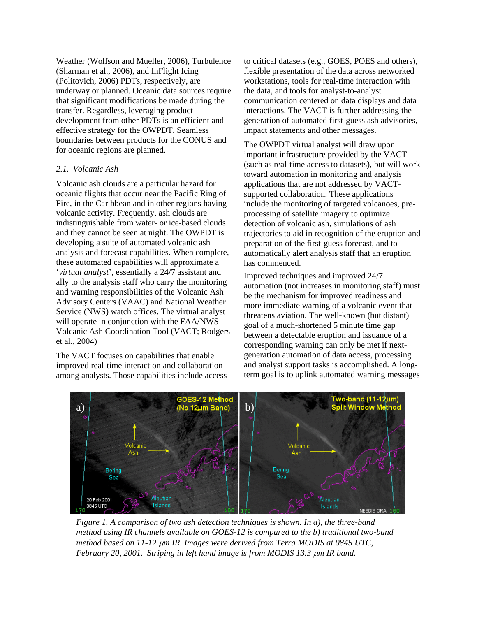Weather (Wolfson and Mueller, 2006), Turbulence (Sharman et al., 2006), and InFlight Icing (Politovich, 2006) PDTs, respectively, are underway or planned. Oceanic data sources require that significant modifications be made during the transfer. Regardless, leveraging product development from other PDTs is an efficient and effective strategy for the OWPDT. Seamless boundaries between products for the CONUS and for oceanic regions are planned.

## *2.1. Volcanic Ash*

Volcanic ash clouds are a particular hazard for oceanic flights that occur near the Pacific Ring of Fire, in the Caribbean and in other regions having volcanic activity. Frequently, ash clouds are indistinguishable from water- or ice-based clouds and they cannot be seen at night. The OWPDT is developing a suite of automated volcanic ash analysis and forecast capabilities. When complete, these automated capabilities will approximate a '*virtual analyst*', essentially a 24/7 assistant and ally to the analysis staff who carry the monitoring and warning responsibilities of the Volcanic Ash Advisory Centers (VAAC) and National Weather Service (NWS) watch offices. The virtual analyst will operate in conjunction with the FAA/NWS Volcanic Ash Coordination Tool (VACT; Rodgers et al., 2004)

The VACT focuses on capabilities that enable improved real-time interaction and collaboration among analysts. Those capabilities include access to critical datasets (e.g., GOES, POES and others), flexible presentation of the data across networked workstations, tools for real-time interaction with the data, and tools for analyst-to-analyst communication centered on data displays and data interactions. The VACT is further addressing the generation of automated first-guess ash advisories, impact statements and other messages.

The OWPDT virtual analyst will draw upon important infrastructure provided by the VACT (such as real-time access to datasets), but will work toward automation in monitoring and analysis applications that are not addressed by VACTsupported collaboration. These applications include the monitoring of targeted volcanoes, preprocessing of satellite imagery to optimize detection of volcanic ash, simulations of ash trajectories to aid in recognition of the eruption and preparation of the first-guess forecast, and to automatically alert analysis staff that an eruption has commenced.

Improved techniques and improved 24/7 automation (not increases in monitoring staff) must be the mechanism for improved readiness and more immediate warning of a volcanic event that threatens aviation. The well-known (but distant) goal of a much-shortened 5 minute time gap between a detectable eruption and issuance of a corresponding warning can only be met if nextgeneration automation of data access, processing and analyst support tasks is accomplished. A longterm goal is to uplink automated warning messages



*Figure 1. A comparison of two ash detection techniques is shown. In a), the three-band method using IR channels available on GOES-12 is compared to the b) traditional two-band method based on 11-12* µ*m IR. Images were derived from Terra MODIS at 0845 UTC, February 20, 2001. Striping in left hand image is from MODIS 13.3* µ*m IR band.*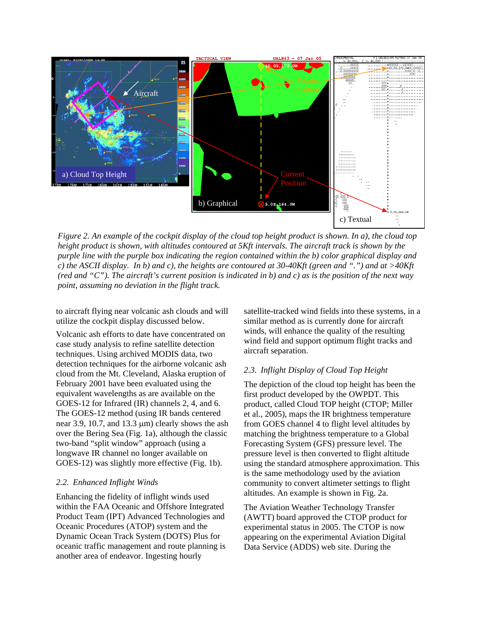

*Figure 2. An example of the cockpit display of the cloud top height product is shown. In a), the cloud top height product is shown, with altitudes contoured at 5Kft intervals. The aircraft track is shown by the purple line with the purple box indicating the region contained within the b) color graphical display and c) the ASCII display. In b) and c), the heights are contoured at 30-40Kft (green and ".") and at >40Kft (red and "C"). The aircraft's current position is indicated in b) and c) as is the position of the next way point, assuming no deviation in the flight track.* 

to aircraft flying near volcanic ash clouds and will utilize the cockpit display discussed below.

Volcanic ash efforts to date have concentrated on case study analysis to refine satellite detection techniques. Using archived MODIS data, two detection techniques for the airborne volcanic ash cloud from the Mt. Cleveland, Alaska eruption of February 2001 have been evaluated using the equivalent wavelengths as are available on the GOES-12 for Infrared (IR) channels 2, 4, and 6. The GOES-12 method (using IR bands centered near 3.9, 10.7, and 13.3  $\mu$ m) clearly shows the ash over the Bering Sea (Fig. 1a), although the classic two-band "split window" approach (using a longwave IR channel no longer available on GOES-12) was slightly more effective (Fig. 1b).

### *2.2. Enhanced Inflight Winds*

Enhancing the fidelity of inflight winds used within the FAA Oceanic and Offshore Integrated Product Team (IPT) Advanced Technologies and Oceanic Procedures (ATOP) system and the Dynamic Ocean Track System (DOTS) Plus for oceanic traffic management and route planning is another area of endeavor. Ingesting hourly

satellite-tracked wind fields into these syste ms, in a similar method as is currently done for aircraft winds, will enhance the quality of the resulting wind field and support optimum flight tracks and aircraft separation.

# *2.3. Inflight Display of Cloud Top Height*

The depiction of the cloud top height has been the product, called Cloud TOP height (CTOP; Miller pressure level is then converted to flight altitude using the standard atmosphere approximation. This community to convert altimeter settings to flight first product developed by the OWPDT. This et al., 2005), maps the IR brightness temperature from GOES channel 4 to flight level altitudes by matching the brightness temperature to a Global Forecasting System (GFS) pressure level. The is the same methodology used by the aviation altitudes. An example is shown in Fig. 2a.

(AWTT) board approved the CTOP product for The Aviation Weather Technology Transfer experimental status in 2005. The CTOP is now appearing on the experimental Aviation Digital Data Service (ADDS) web site. During the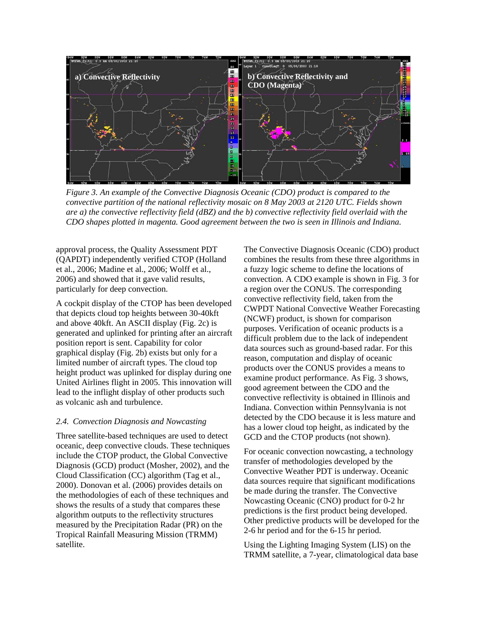

*Figure 3. An example of the Convective Diagnosis Oceanic (CDO) product is compared to the convective partition of the national reflectivity mosaic on 8 May 2003 at 2120 UTC. Fields shown are a) the convective reflectivity field (dBZ) and the b) convective reflectivity field overlaid with the CDO shapes plotted in magenta. Good agreement between the two is seen in Illinois and Indiana.* 

approval process, the Quality Assessment PD T (QAPDT) independently verified CTOP (Hollan d et al., 2006; Madine et al., 2006; Wolff et al., 2006) and showed that it gave valid results, particularly for deep convection.

A cockpit display of the CTOP ha s been developed generated and uplinked for printing after an aircraft graphical display (Fig. 2b) exists but only for a height product was uplinked for display during one that depicts cloud top heights between 30-40kft and above 40kft. An ASCII display (Fig. 2c) is position report is sent. Capability for color limited number of aircraft types. The cloud top United Airlines flight in 2005. This innovation will lead to the inflight display of other products such as volcanic ash and turbulence.

### *2.4. Convection Diagnosis and Nowcasting*

Three satellite-based techniques are used to detect measured by the Precipitation Radar (PR) on the oceanic, deep convective clouds. These techniques include the CTOP product, the Global Convective Diagnosis (GCD) product (Mosher, 2002), and the Cloud Classification (CC) algorithm (Tag et al., 2000). Donovan et al. (2006) provides details on the methodologies of each of these techniques and shows the results of a study that compares these algorithm outputs to the reflectivity structures Tropical Rainfall Measuring Mission (TRMM) satellite.

The Convective Diagnosis Oceanic (CDO) product combines the results from these three algorithms in a fuzzy logic scheme to define the locations of convection. A CDO example is shown in Fig. 3 for a region over the CONUS. The corresponding convective reflectivity field, taken from the CWPDT National Convective Weather Forecasting (NCWF) product, is shown for comparison purposes. Verification of oceanic products is a difficult problem due to the lack of independent data sources such as ground-based radar. For this reason, computation and display of oceanic products over the CONUS provides a means to examine product performance. As Fig. 3 shows, good agreement between the CDO and the convective reflectivity is obtained in Illinois and Indiana. Convection within Pennsylvania is not detected by the CDO because it is less mature and has a lower cloud top height, as indicated by the GCD and the CTOP products (not shown).

For oceanic convection nowcasting, a technology transfer of methodologies developed by the Convective Weather PDT is underway. Oceanic data sources require that significant modifications be made during the transfer. The Convective Nowcasting Oceanic (CNO) product for 0-2 hr predictions is the first product being developed. Other predictive products will be developed for the 2-6 hr period and for the 6-15 hr period.

Using the Lighting Imaging System (LIS) on the TRMM satellite, a 7-year, climatological data base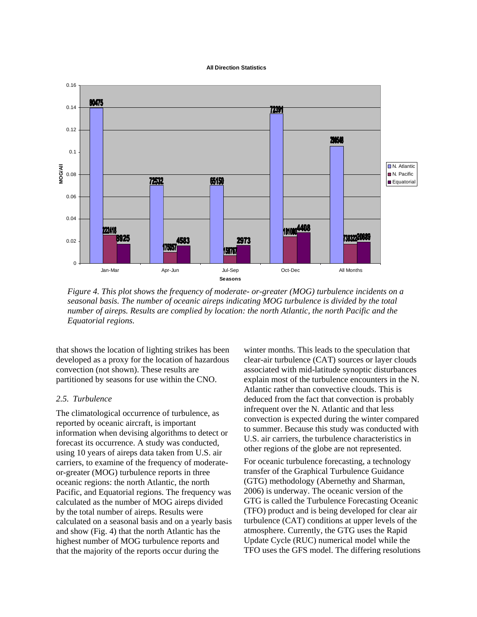#### **All Direction Statistics**



*Figure 4. This plot shows the frequency of moderate- or-greater (MOG) turbulence incidents on a seasonal basis. The number of oceanic aireps indicating MOG turbulence is divided by the total number of aireps. Results are complied by location: the north Atlantic, the north Pacific and the Equatorial regions.* 

that shows the location of lighting strikes has been developed as a proxy for the location of hazardous convection (not shown). These results are partitioned by seasons for use within the CNO.

### *2.5. Turbulence*

The climatological occurrence of turbulence, as reported by oceanic aircraft, is important information when devising algorithms to detect or forecast its occurrence. A study was conducted, using 10 years of aireps data taken from U.S. air carriers, to examine of the frequency of moderateor-greater (MOG) turbulence reports in three oceanic regions: the north Atlantic, the north Pacific, and Equatorial regions. The frequency was calculated as the number of MOG aireps divided by the total number of aireps. Results were calculated on a seasonal basis and on a yearly basis and show (Fig. 4) that the north Atlantic has the highest number of MOG turbulence reports and that the majority of the reports occur during the

winter months. This leads to the speculation that clear-air turbulence (CAT) sources or layer clouds associated with mid-latitude synoptic disturbances explain most of the turbulence encounters in the N. Atlantic rather than convective clouds. This is deduced from the fact that convection is probably infrequent over the N. Atlantic and that less convection is expected during the winter compared to summer. Because this study was conducted with U.S. air carriers, the turbulence characteristics in other regions of the globe are not represented.

For oceanic turbulence forecasting, a technology transfer of the Graphical Turbulence Guidance (GTG) methodology (Abernethy and Sharman, 2006) is underway. The oceanic version of the GTG is called the Turbulence Forecasting Oceanic (TFO) product and is being developed for clear air turbulence (CAT) conditions at upper levels of the atmosphere. Currently, the GTG uses the Rapid Update Cycle (RUC) numerical model while the TFO uses the GFS model. The differing resolutions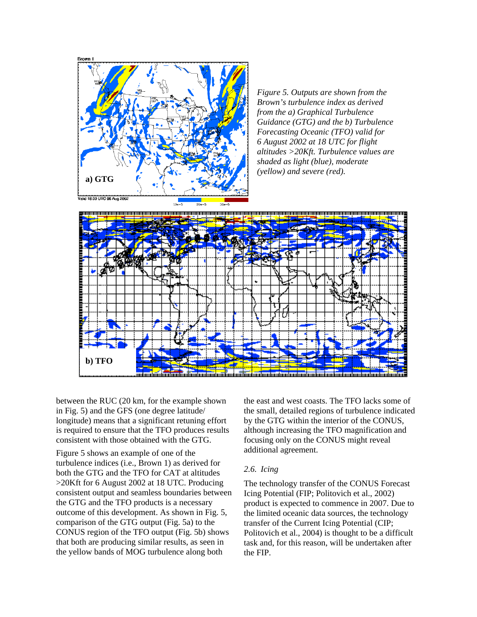

*Figure 5. Outputs are shown from the Brown's turbulence index as derived from the a) Graphical Turbulence Guidance (GTG) and the b) Turbulence Forecasting Oceanic (TFO) valid for 6 August 2002 at 18 UTC for flight altitudes >20Kft. Turbulence values are shaded as light (blue), moderate (yellow) and severe (red).* 



between the RUC (20 km, for the example shown in Fig. 5) and the GFS (one degree latitude/ longitude) means that a significant retuning effort is required to ensure that the TFO produces results consistent with those obtained with the GTG.

Figure 5 shows an example of one of the turbulence indices (i.e., Brown 1) as derived for both the GTG and the TFO for CAT at altitudes >20Kft for 6 August 2002 at 18 UTC. Producing consistent output and seamless boundaries between the GTG and the TFO products is a necessary outcome of this development. As shown in Fig. 5, comparison of the GTG output (Fig. 5a) to the CONUS region of the TFO output (Fig. 5b) shows that both are producing similar results, as seen in the yellow bands of MOG turbulence along both

the east and west coasts. The TFO lacks some of the small, detailed regions of turbulence indicated by the GTG within the interior of the CONUS, although increasing the TFO magnification and focusing only on the CONUS might reveal additional agreement.

### *2.6. Icing*

The technology transfer of the CONUS Forecast Icing Potential (FIP; Politovich et al., 2002) product is expected to commence in 2007. Due to the limited oceanic data sources, the technology transfer of the Current Icing Potential (CIP; Politovich et al., 2004) is thought to be a difficult task and, for this reason, will be undertaken after the FIP.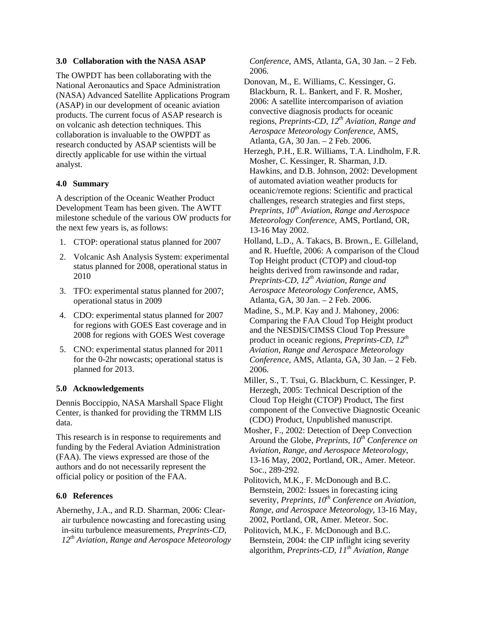### **3.0 Collaboration with the NASA ASAP**

The OWPDT has been collaborating with the National Aeronautics and Space Administration (NASA) Advanced Satellite Applications Program (ASAP) in our development of oceanic aviation products. The current focus of ASAP research is on volcanic ash detection techniques. This collaboration is invaluable to the OWPDT as research conducted by ASAP scientists will be directly applicable for use within the virtual analyst.

## **4.0 Summary**

A description of the Oceanic Weather Product Development Team has been given. The AWTT milestone schedule of the various OW products for the next few years is, as follows:

- 1. CTOP: operational status planned for 2007
- 2. Volcanic Ash Analysis System: experimental status planned for 2008, operational status in 2010
- 3. TFO: experimental status planned for 2007; operational status in 2009
- 4. CDO: experimental status planned for 2007 for regions with GOES East coverage and in 2008 for regions with GOES West coverage
- 5. CNO: experimental status planned for 2011 for the 0-2hr nowcasts; operational status is planned for 2013.

# **5.0 Acknowledgements**

Dennis Boccippio, NASA Marshall Space Flight Center, is thanked for providing the TRMM LIS data.

This research is in response to requirements and funding by the Federal Aviation Administration (FAA). The views expressed are those of the authors and do not necessarily represent the official policy or position of the FAA.

# **6.0 References**

Abernethy, J.A., and R.D. Sharman, 2006: Clearair turbulence nowcasting and forecasting using in-situ turbulence measurements, *Preprints-CD, 12th Aviation, Range and Aerospace Meteorology*  *Conference*, AMS, Atlanta, GA, 30 Jan. – 2 Feb. 2006.

Donovan, M., E. Williams, C. Kessinger, G. Blackburn, R. L. Bankert, and F. R. Mosher, 2006: A satellite intercomparison of aviation convective diagnosis products for oceanic regions, *Preprints-CD, 12th Aviation, Range and Aerospace Meteorology Conference*, AMS, Atlanta, GA, 30 Jan. – 2 Feb. 2006.

- Herzegh, P.H., E.R. Williams, T.A. Lindholm, F.R. Mosher, C. Kessinger, R. Sharman, J.D. Hawkins, and D.B. Johnson, 2002: Development of automated aviation weather products for oceanic/remote regions: Scientific and practical challenges, research strategies and first steps, *Preprints, 10th Aviation, Range and Aerospace Meteorology Conference*, AMS, Portland, OR, 13-16 May 2002.
- Holland, L.D., A. Takacs, B. Brown., E. Gilleland, and R. Hueftle, 2006: A comparison of the Cloud Top Height product (CTOP) and cloud-top heights derived from rawinsonde and radar, *Preprints-CD, 12th Aviation, Range and Aerospace Meteorology Conference*, AMS, Atlanta, GA, 30 Jan. – 2 Feb. 2006.
- Madine, S., M.P. Kay and J. Mahoney, 2006: Comparing the FAA Cloud Top Height product and the NESDIS/CIMSS Cloud Top Pressure product in oceanic regions, *Preprints-CD, 12th Aviation, Range and Aerospace Meteorology Conference*, AMS, Atlanta, GA, 30 Jan. – 2 Feb. 2006.
- Miller, S., T. Tsui, G. Blackburn, C. Kessinger, P. Herzegh, 2005: Technical Description of the Cloud Top Height (CTOP) Product, The first component of the Convective Diagnostic Oceanic (CDO) Product, Unpublished manuscript.
- Mosher, F., 2002: Detection of Deep Convection Around the Globe, *Preprints*,  $10^{th}$  Conference on *Aviation, Range, and Aerospace Meteorology*, 13-16 May, 2002, Portland, OR., Amer. Meteor. Soc., 289-292.
- Politovich, M.K., F. McDonough and B.C. Bernstein, 2002: Issues in forecasting icing severity, *Preprints, 10<sup>th</sup> Conference on Aviation*, *Range, and Aerospace Meteorology*, 13-16 May, 2002, Portland, OR, Amer. Meteor. Soc.

Politovich, M.K., F. McDonough and B.C. Bernstein, 2004: the CIP inflight icing severity algorithm, *Preprints-CD, 11th Aviation, Range*